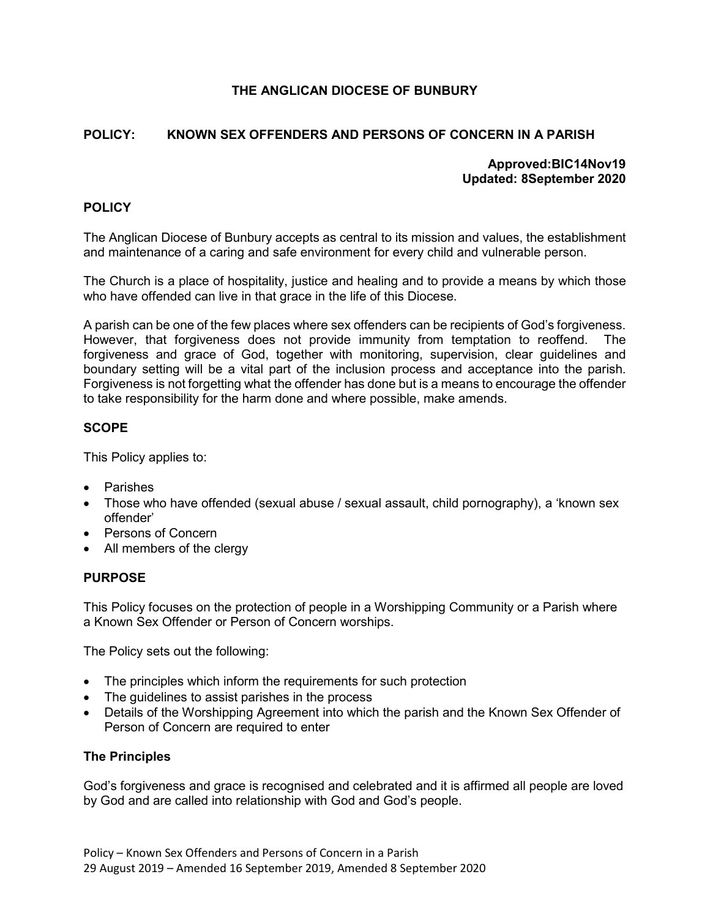# **THE ANGLICAN DIOCESE OF BUNBURY**

# **POLICY: KNOWN SEX OFFENDERS AND PERSONS OF CONCERN IN A PARISH**

## **Approved:BIC14Nov19 Updated: 8September 2020**

## **POLICY**

The Anglican Diocese of Bunbury accepts as central to its mission and values, the establishment and maintenance of a caring and safe environment for every child and vulnerable person.

The Church is a place of hospitality, justice and healing and to provide a means by which those who have offended can live in that grace in the life of this Diocese.

A parish can be one of the few places where sex offenders can be recipients of God's forgiveness. However, that forgiveness does not provide immunity from temptation to reoffend. The forgiveness and grace of God, together with monitoring, supervision, clear guidelines and boundary setting will be a vital part of the inclusion process and acceptance into the parish. Forgiveness is not forgetting what the offender has done but is a means to encourage the offender to take responsibility for the harm done and where possible, make amends.

## **SCOPE**

This Policy applies to:

- Parishes
- Those who have offended (sexual abuse / sexual assault, child pornography), a 'known sex offender'
- Persons of Concern
- All members of the clergy

## **PURPOSE**

This Policy focuses on the protection of people in a Worshipping Community or a Parish where a Known Sex Offender or Person of Concern worships.

The Policy sets out the following:

- The principles which inform the requirements for such protection
- The guidelines to assist parishes in the process
- Details of the Worshipping Agreement into which the parish and the Known Sex Offender of Person of Concern are required to enter

## **The Principles**

God's forgiveness and grace is recognised and celebrated and it is affirmed all people are loved by God and are called into relationship with God and God's people.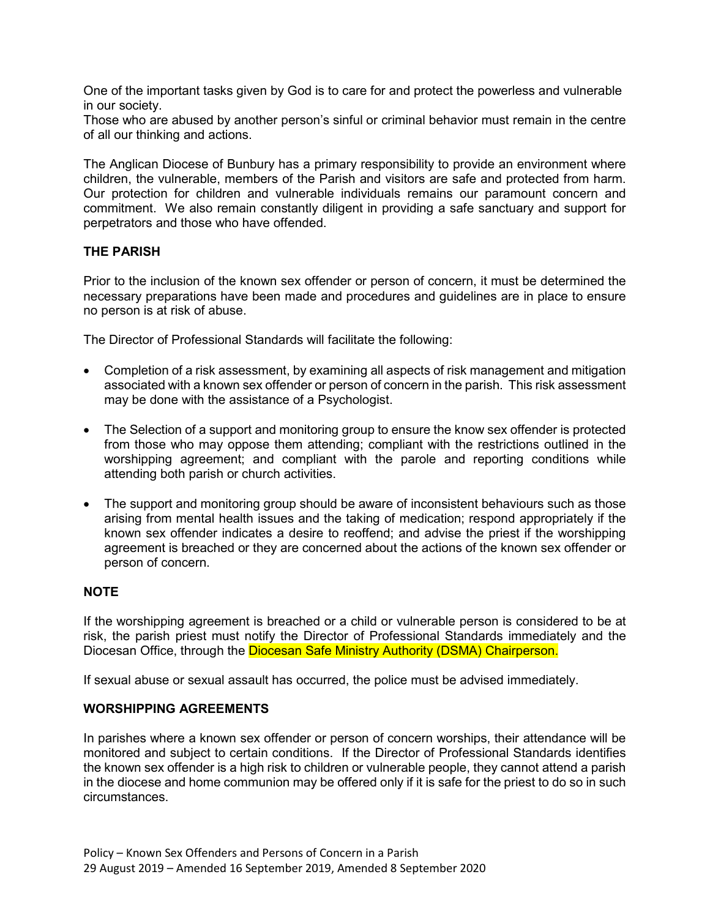One of the important tasks given by God is to care for and protect the powerless and vulnerable in our society.

Those who are abused by another person's sinful or criminal behavior must remain in the centre of all our thinking and actions.

The Anglican Diocese of Bunbury has a primary responsibility to provide an environment where children, the vulnerable, members of the Parish and visitors are safe and protected from harm. Our protection for children and vulnerable individuals remains our paramount concern and commitment. We also remain constantly diligent in providing a safe sanctuary and support for perpetrators and those who have offended.

### **THE PARISH**

Prior to the inclusion of the known sex offender or person of concern, it must be determined the necessary preparations have been made and procedures and guidelines are in place to ensure no person is at risk of abuse.

The Director of Professional Standards will facilitate the following:

- Completion of a risk assessment, by examining all aspects of risk management and mitigation associated with a known sex offender or person of concern in the parish. This risk assessment may be done with the assistance of a Psychologist.
- The Selection of a support and monitoring group to ensure the know sex offender is protected from those who may oppose them attending; compliant with the restrictions outlined in the worshipping agreement; and compliant with the parole and reporting conditions while attending both parish or church activities.
- The support and monitoring group should be aware of inconsistent behaviours such as those arising from mental health issues and the taking of medication; respond appropriately if the known sex offender indicates a desire to reoffend; and advise the priest if the worshipping agreement is breached or they are concerned about the actions of the known sex offender or person of concern.

#### **NOTE**

If the worshipping agreement is breached or a child or vulnerable person is considered to be at risk, the parish priest must notify the Director of Professional Standards immediately and the Diocesan Office, through the Diocesan Safe Ministry Authority (DSMA) Chairperson.

If sexual abuse or sexual assault has occurred, the police must be advised immediately.

### **WORSHIPPING AGREEMENTS**

In parishes where a known sex offender or person of concern worships, their attendance will be monitored and subject to certain conditions. If the Director of Professional Standards identifies the known sex offender is a high risk to children or vulnerable people, they cannot attend a parish in the diocese and home communion may be offered only if it is safe for the priest to do so in such circumstances.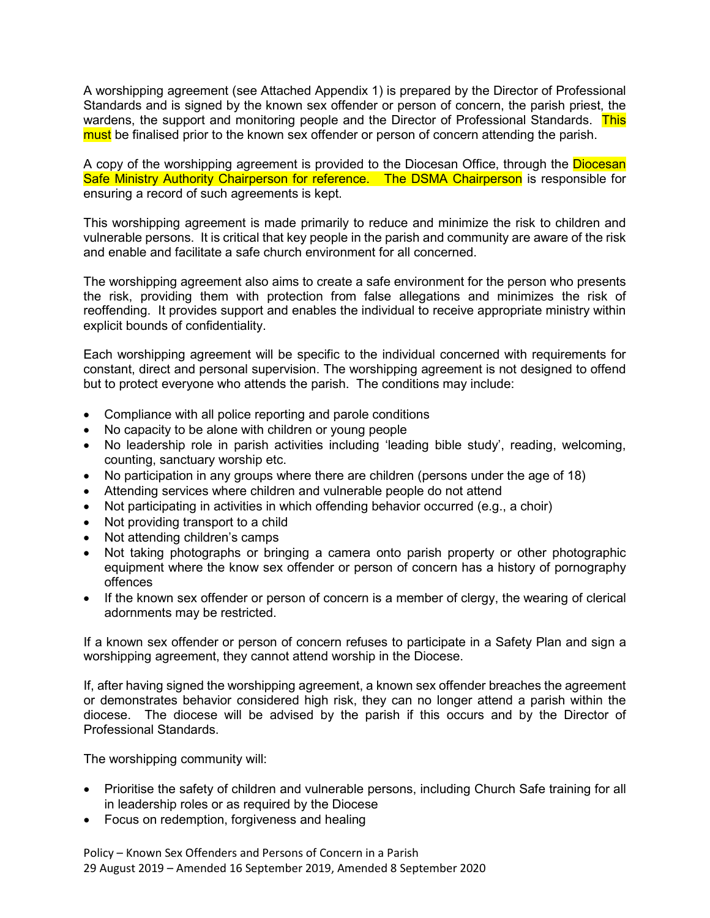A worshipping agreement (see Attached Appendix 1) is prepared by the Director of Professional Standards and is signed by the known sex offender or person of concern, the parish priest, the wardens, the support and monitoring people and the Director of Professional Standards. This must be finalised prior to the known sex offender or person of concern attending the parish.

A copy of the worshipping agreement is provided to the Diocesan Office, through the Diocesan Safe Ministry Authority Chairperson for reference. The DSMA Chairperson is responsible for ensuring a record of such agreements is kept.

This worshipping agreement is made primarily to reduce and minimize the risk to children and vulnerable persons. It is critical that key people in the parish and community are aware of the risk and enable and facilitate a safe church environment for all concerned.

The worshipping agreement also aims to create a safe environment for the person who presents the risk, providing them with protection from false allegations and minimizes the risk of reoffending. It provides support and enables the individual to receive appropriate ministry within explicit bounds of confidentiality.

Each worshipping agreement will be specific to the individual concerned with requirements for constant, direct and personal supervision. The worshipping agreement is not designed to offend but to protect everyone who attends the parish. The conditions may include:

- Compliance with all police reporting and parole conditions
- No capacity to be alone with children or young people
- No leadership role in parish activities including 'leading bible study', reading, welcoming, counting, sanctuary worship etc.
- No participation in any groups where there are children (persons under the age of 18)
- Attending services where children and vulnerable people do not attend
- Not participating in activities in which offending behavior occurred (e.g., a choir)
- Not providing transport to a child
- Not attending children's camps
- Not taking photographs or bringing a camera onto parish property or other photographic equipment where the know sex offender or person of concern has a history of pornography offences
- If the known sex offender or person of concern is a member of clergy, the wearing of clerical adornments may be restricted.

If a known sex offender or person of concern refuses to participate in a Safety Plan and sign a worshipping agreement, they cannot attend worship in the Diocese.

If, after having signed the worshipping agreement, a known sex offender breaches the agreement or demonstrates behavior considered high risk, they can no longer attend a parish within the diocese. The diocese will be advised by the parish if this occurs and by the Director of Professional Standards.

The worshipping community will:

- Prioritise the safety of children and vulnerable persons, including Church Safe training for all in leadership roles or as required by the Diocese
- Focus on redemption, forgiveness and healing

Policy – Known Sex Offenders and Persons of Concern in a Parish 29 August 2019 – Amended 16 September 2019, Amended 8 September 2020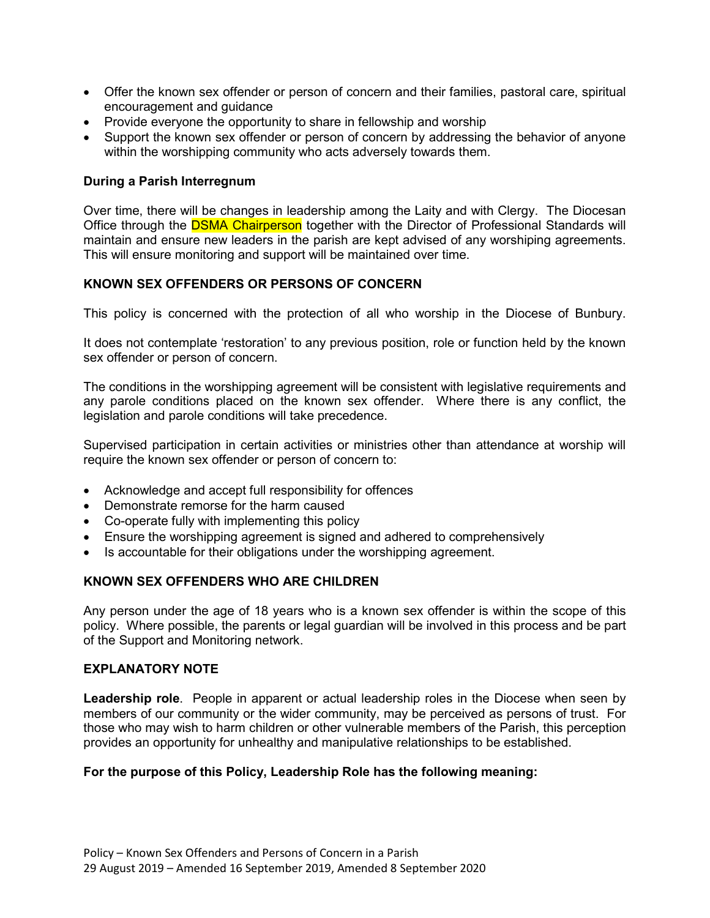- Offer the known sex offender or person of concern and their families, pastoral care, spiritual encouragement and guidance
- Provide everyone the opportunity to share in fellowship and worship
- Support the known sex offender or person of concern by addressing the behavior of anyone within the worshipping community who acts adversely towards them.

### **During a Parish Interregnum**

Over time, there will be changes in leadership among the Laity and with Clergy. The Diocesan Office through the **DSMA Chairperson** together with the Director of Professional Standards will maintain and ensure new leaders in the parish are kept advised of any worshiping agreements. This will ensure monitoring and support will be maintained over time.

## **KNOWN SEX OFFENDERS OR PERSONS OF CONCERN**

This policy is concerned with the protection of all who worship in the Diocese of Bunbury.

It does not contemplate 'restoration' to any previous position, role or function held by the known sex offender or person of concern.

The conditions in the worshipping agreement will be consistent with legislative requirements and any parole conditions placed on the known sex offender. Where there is any conflict, the legislation and parole conditions will take precedence.

Supervised participation in certain activities or ministries other than attendance at worship will require the known sex offender or person of concern to:

- Acknowledge and accept full responsibility for offences
- Demonstrate remorse for the harm caused
- Co-operate fully with implementing this policy
- Ensure the worshipping agreement is signed and adhered to comprehensively
- Is accountable for their obligations under the worshipping agreement.

#### **KNOWN SEX OFFENDERS WHO ARE CHILDREN**

Any person under the age of 18 years who is a known sex offender is within the scope of this policy. Where possible, the parents or legal guardian will be involved in this process and be part of the Support and Monitoring network.

### **EXPLANATORY NOTE**

**Leadership role**. People in apparent or actual leadership roles in the Diocese when seen by members of our community or the wider community, may be perceived as persons of trust. For those who may wish to harm children or other vulnerable members of the Parish, this perception provides an opportunity for unhealthy and manipulative relationships to be established.

#### **For the purpose of this Policy, Leadership Role has the following meaning:**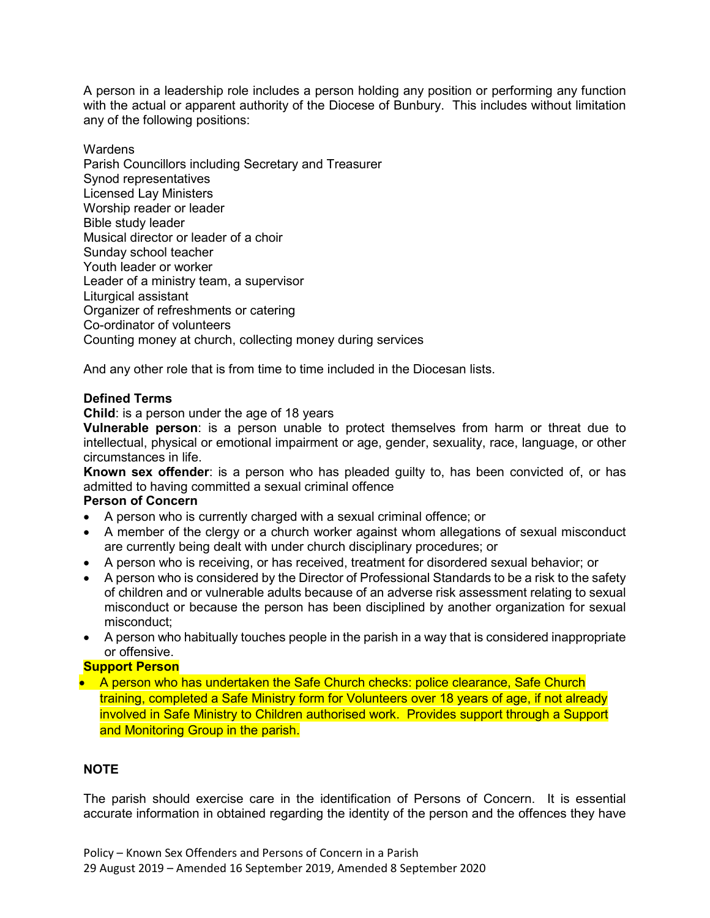A person in a leadership role includes a person holding any position or performing any function with the actual or apparent authority of the Diocese of Bunbury. This includes without limitation any of the following positions:

**Wardens** Parish Councillors including Secretary and Treasurer Synod representatives Licensed Lay Ministers Worship reader or leader Bible study leader Musical director or leader of a choir Sunday school teacher Youth leader or worker Leader of a ministry team, a supervisor Liturgical assistant Organizer of refreshments or catering Co-ordinator of volunteers Counting money at church, collecting money during services

And any other role that is from time to time included in the Diocesan lists.

# **Defined Terms**

**Child**: is a person under the age of 18 years

**Vulnerable person**: is a person unable to protect themselves from harm or threat due to intellectual, physical or emotional impairment or age, gender, sexuality, race, language, or other circumstances in life.

**Known sex offender**: is a person who has pleaded guilty to, has been convicted of, or has admitted to having committed a sexual criminal offence

## **Person of Concern**

- A person who is currently charged with a sexual criminal offence; or
- A member of the clergy or a church worker against whom allegations of sexual misconduct are currently being dealt with under church disciplinary procedures; or
- A person who is receiving, or has received, treatment for disordered sexual behavior; or
- A person who is considered by the Director of Professional Standards to be a risk to the safety of children and or vulnerable adults because of an adverse risk assessment relating to sexual misconduct or because the person has been disciplined by another organization for sexual misconduct;
- A person who habitually touches people in the parish in a way that is considered inappropriate or offensive.

## **Support Person**

• A person who has undertaken the Safe Church checks: police clearance, Safe Church training, completed a Safe Ministry form for Volunteers over 18 years of age, if not already involved in Safe Ministry to Children authorised work. Provides support through a Support and Monitoring Group in the parish.

## **NOTE**

The parish should exercise care in the identification of Persons of Concern. It is essential accurate information in obtained regarding the identity of the person and the offences they have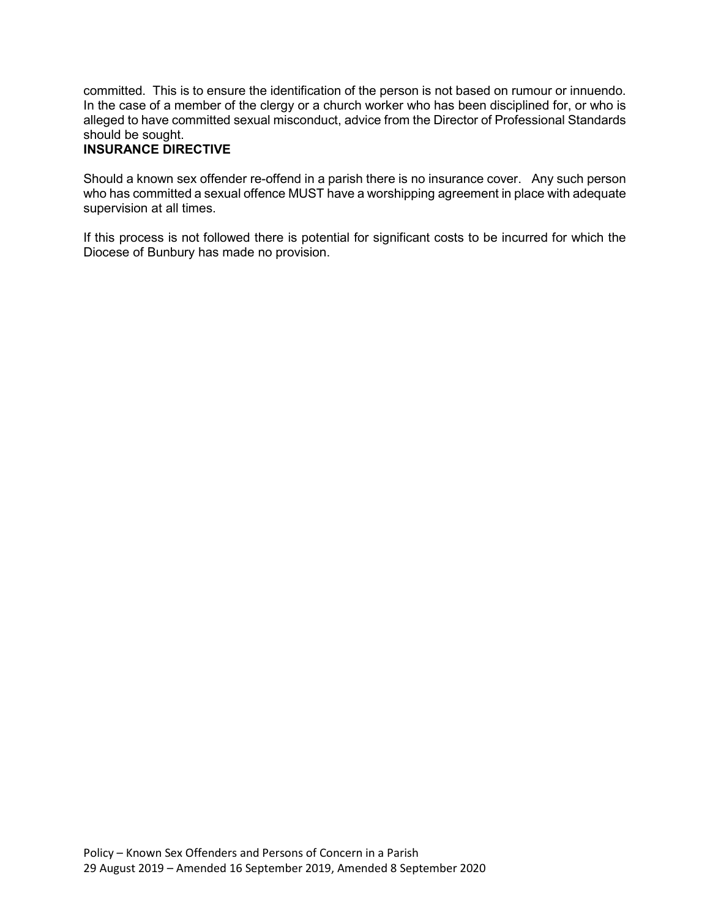committed. This is to ensure the identification of the person is not based on rumour or innuendo. In the case of a member of the clergy or a church worker who has been disciplined for, or who is alleged to have committed sexual misconduct, advice from the Director of Professional Standards should be sought.

# **INSURANCE DIRECTIVE**

Should a known sex offender re-offend in a parish there is no insurance cover. Any such person who has committed a sexual offence MUST have a worshipping agreement in place with adequate supervision at all times.

If this process is not followed there is potential for significant costs to be incurred for which the Diocese of Bunbury has made no provision.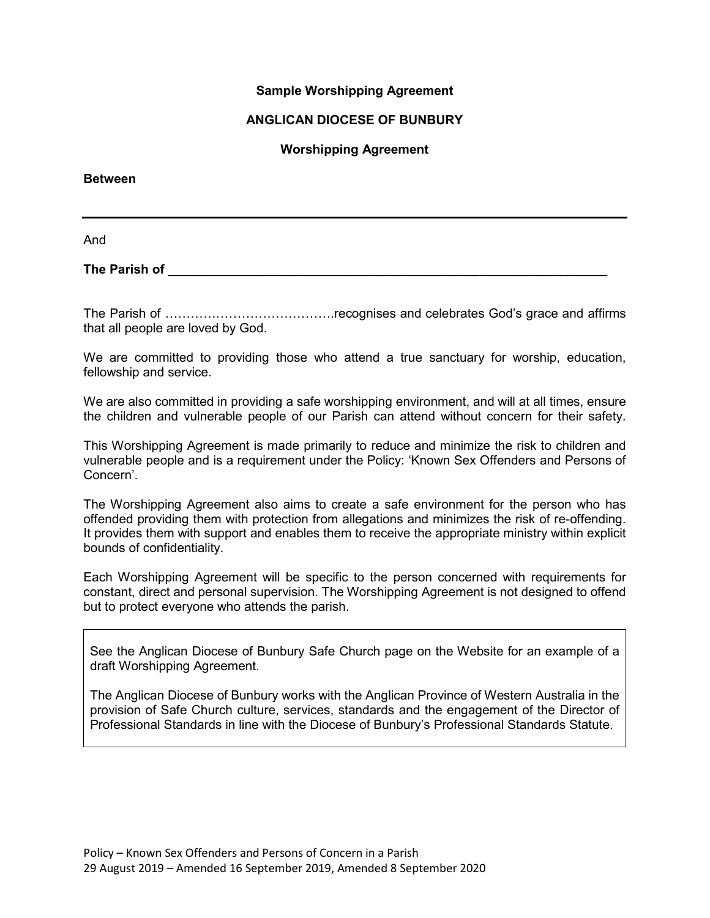## **Sample Worshipping Agreement**

### **ANGLICAN DIOCESE OF BUNBURY**

### **Worshipping Agreement**

**Between** 

And

**The Parish of \_\_\_\_\_\_\_\_\_\_\_\_\_\_\_\_\_\_\_\_\_\_\_\_\_\_\_\_\_\_\_\_\_\_\_\_\_\_\_\_\_\_\_\_\_\_\_\_\_\_\_\_\_\_\_\_\_\_\_\_\_\_**

The Parish of ………………………………….recognises and celebrates God's grace and affirms that all people are loved by God.

We are committed to providing those who attend a true sanctuary for worship, education, fellowship and service.

We are also committed in providing a safe worshipping environment, and will at all times, ensure the children and vulnerable people of our Parish can attend without concern for their safety.

This Worshipping Agreement is made primarily to reduce and minimize the risk to children and vulnerable people and is a requirement under the Policy: 'Known Sex Offenders and Persons of Concern'.

The Worshipping Agreement also aims to create a safe environment for the person who has offended providing them with protection from allegations and minimizes the risk of re-offending. It provides them with support and enables them to receive the appropriate ministry within explicit bounds of confidentiality.

Each Worshipping Agreement will be specific to the person concerned with requirements for constant, direct and personal supervision. The Worshipping Agreement is not designed to offend but to protect everyone who attends the parish.

See the Anglican Diocese of Bunbury Safe Church page on the Website for an example of a draft Worshipping Agreement.

The Anglican Diocese of Bunbury works with the Anglican Province of Western Australia in the provision of Safe Church culture, services, standards and the engagement of the Director of Professional Standards in line with the Diocese of Bunbury's Professional Standards Statute.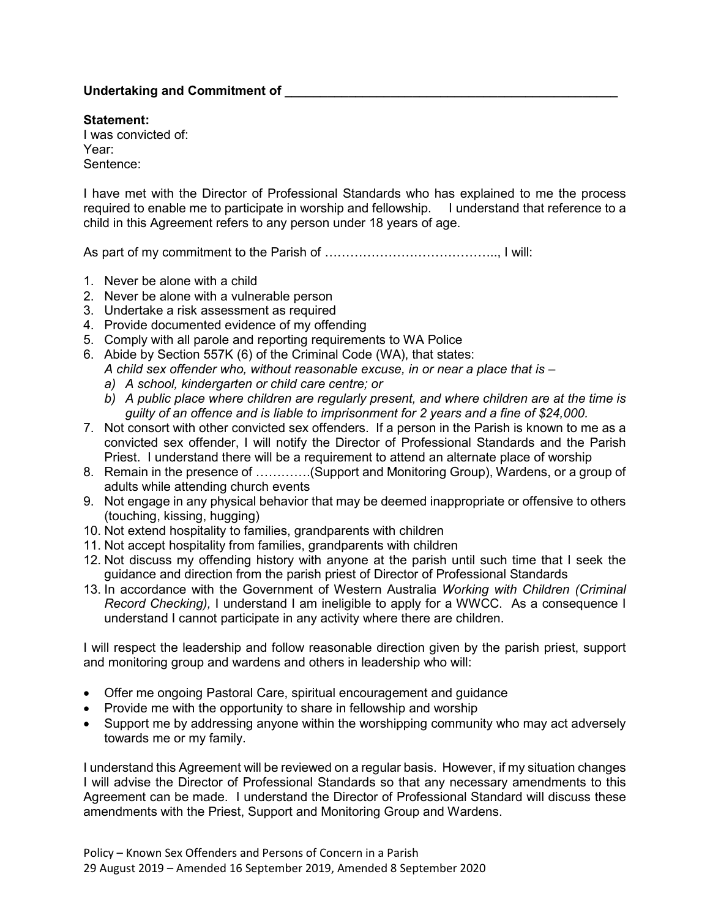## Undertaking and Commitment of **Windertaking** and  $\blacksquare$

**Statement:** I was convicted of: Year: Sentence:

I have met with the Director of Professional Standards who has explained to me the process required to enable me to participate in worship and fellowship. I understand that reference to a child in this Agreement refers to any person under 18 years of age.

As part of my commitment to the Parish of ………………………………….., I will:

- 1. Never be alone with a child
- 2. Never be alone with a vulnerable person
- 3. Undertake a risk assessment as required
- 4. Provide documented evidence of my offending
- 5. Comply with all parole and reporting requirements to WA Police
- 6. Abide by Section 557K (6) of the Criminal Code (WA), that states: *A child sex offender who, without reasonable excuse, in or near a place that is –*
	- *a) A school, kindergarten or child care centre; or*
	- *b) A public place where children are regularly present, and where children are at the time is guilty of an offence and is liable to imprisonment for 2 years and a fine of \$24,000.*
- 7. Not consort with other convicted sex offenders. If a person in the Parish is known to me as a convicted sex offender, I will notify the Director of Professional Standards and the Parish Priest. I understand there will be a requirement to attend an alternate place of worship
- 8. Remain in the presence of ………….(Support and Monitoring Group), Wardens, or a group of adults while attending church events
- 9. Not engage in any physical behavior that may be deemed inappropriate or offensive to others (touching, kissing, hugging)
- 10. Not extend hospitality to families, grandparents with children
- 11. Not accept hospitality from families, grandparents with children
- 12. Not discuss my offending history with anyone at the parish until such time that I seek the guidance and direction from the parish priest of Director of Professional Standards
- 13. In accordance with the Government of Western Australia *Working with Children (Criminal Record Checking),* I understand I am ineligible to apply for a WWCC. As a consequence I understand I cannot participate in any activity where there are children.

I will respect the leadership and follow reasonable direction given by the parish priest, support and monitoring group and wardens and others in leadership who will:

- Offer me ongoing Pastoral Care, spiritual encouragement and guidance
- Provide me with the opportunity to share in fellowship and worship
- Support me by addressing anyone within the worshipping community who may act adversely towards me or my family.

I understand this Agreement will be reviewed on a regular basis. However, if my situation changes I will advise the Director of Professional Standards so that any necessary amendments to this Agreement can be made. I understand the Director of Professional Standard will discuss these amendments with the Priest, Support and Monitoring Group and Wardens.